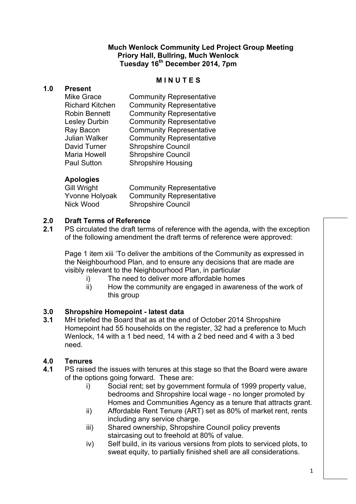### **Much Wenlock Community Led Project Group Meeting Priory Hall, Bullring, Much Wenlock Tuesday 16th December 2014, 7pm**

### **M I N U T E S**

### **1.0 Present**

| <b>Community Representative</b> |
|---------------------------------|
| <b>Community Representative</b> |
| <b>Community Representative</b> |
| <b>Community Representative</b> |
| <b>Community Representative</b> |
| <b>Community Representative</b> |
| <b>Shropshire Council</b>       |
| <b>Shropshire Council</b>       |
| <b>Shropshire Housing</b>       |
|                                 |

# **Apologies**

| Gill Wright    | <b>Community Representative</b> |
|----------------|---------------------------------|
| Yvonne Holyoak | <b>Community Representative</b> |
| Nick Wood      | <b>Shropshire Council</b>       |

## **2.0 Draft Terms of Reference**

**2.1** PS circulated the draft terms of reference with the agenda, with the exception of the following amendment the draft terms of reference were approved:

Page 1 item xiii 'To deliver the ambitions of the Community as expressed in the Neighbourhood Plan, and to ensure any decisions that are made are visibly relevant to the Neighbourhood Plan, in particular

- i) The need to deliver more affordable homes
- ii) How the community are engaged in awareness of the work of this group

## **3.0 Shropshire Homepoint - latest data**

**3.1** MH briefed the Board that as at the end of October 2014 Shropshire Homepoint had 55 households on the register, 32 had a preference to Much Wenlock, 14 with a 1 bed need, 14 with a 2 bed need and 4 with a 3 bed need.

## **4.0 Tenures**

- **4.1** PS raised the issues with tenures at this stage so that the Board were aware of the options going forward. These are:
	- i) Social rent; set by government formula of 1999 property value, bedrooms and Shropshire local wage - no longer promoted by Homes and Communities Agency as a tenure that attracts grant.
	- ii) Affordable Rent Tenure (ART) set as 80% of market rent, rents including any service charge.
	- iii) Shared ownership, Shropshire Council policy prevents staircasing out to freehold at 80% of value.
	- iv) Self build, in its various versions from plots to serviced plots, to sweat equity, to partially finished shell are all considerations.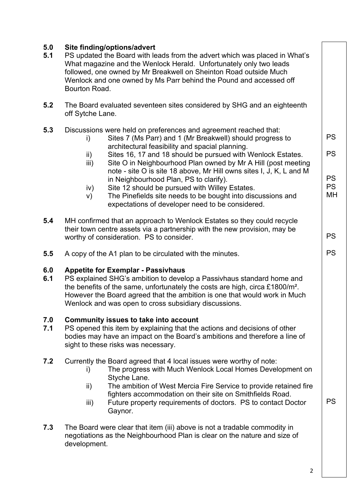| 5.0<br>5.1 | Site finding/options/advert<br>PS updated the Board with leads from the advert which was placed in What's<br>What magazine and the Wenlock Herald. Unfortunately only two leads<br>followed, one owned by Mr Breakwell on Sheinton Road outside Much<br>Wenlock and one owned by Ms Parr behind the Pound and accessed off<br>Bourton Road.          |                                                                                                                                                                                                                                                                                                                                                                                                                                                                                                                                                                                                        |                                                        |  |  |
|------------|------------------------------------------------------------------------------------------------------------------------------------------------------------------------------------------------------------------------------------------------------------------------------------------------------------------------------------------------------|--------------------------------------------------------------------------------------------------------------------------------------------------------------------------------------------------------------------------------------------------------------------------------------------------------------------------------------------------------------------------------------------------------------------------------------------------------------------------------------------------------------------------------------------------------------------------------------------------------|--------------------------------------------------------|--|--|
| 5.2        | The Board evaluated seventeen sites considered by SHG and an eighteenth<br>off Sytche Lane.                                                                                                                                                                                                                                                          |                                                                                                                                                                                                                                                                                                                                                                                                                                                                                                                                                                                                        |                                                        |  |  |
| 5.3        | i)<br>$\mathsf{ii}$<br>$\mathsf{iii}$ )<br>iv)<br>V)                                                                                                                                                                                                                                                                                                 | Discussions were held on preferences and agreement reached that:<br>Sites 7 (Ms Parr) and 1 (Mr Breakwell) should progress to<br>architectural feasibility and spacial planning.<br>Sites 16, 17 and 18 should be pursued with Wenlock Estates.<br>Site O in Neighbourhood Plan owned by Mr A Hill (post meeting<br>note - site O is site 18 above, Mr Hill owns sites I, J, K, L and M<br>in Neighbourhood Plan, PS to clarify).<br>Site 12 should be pursued with Willey Estates.<br>The Pinefields site needs to be bought into discussions and<br>expectations of developer need to be considered. | <b>PS</b><br><b>PS</b><br><b>PS</b><br><b>PS</b><br>MН |  |  |
| 5.4        |                                                                                                                                                                                                                                                                                                                                                      | MH confirmed that an approach to Wenlock Estates so they could recycle<br>their town centre assets via a partnership with the new provision, may be<br>worthy of consideration. PS to consider.                                                                                                                                                                                                                                                                                                                                                                                                        | <b>PS</b>                                              |  |  |
| 5.5        |                                                                                                                                                                                                                                                                                                                                                      | A copy of the A1 plan to be circulated with the minutes.                                                                                                                                                                                                                                                                                                                                                                                                                                                                                                                                               | <b>PS</b>                                              |  |  |
| 6.0<br>6.1 | <b>Appetite for Exemplar - Passivhaus</b><br>PS explained SHG's ambition to develop a Passivhaus standard home and<br>the benefits of the same, unfortunately the costs are high, circa £1800/m <sup>2</sup> .<br>However the Board agreed that the ambition is one that would work in Much<br>Wenlock and was open to cross subsidiary discussions. |                                                                                                                                                                                                                                                                                                                                                                                                                                                                                                                                                                                                        |                                                        |  |  |
| 7.0<br>7.1 | <b>Community issues to take into account</b><br>PS opened this item by explaining that the actions and decisions of other<br>bodies may have an impact on the Board's ambitions and therefore a line of<br>sight to these risks was necessary.                                                                                                       |                                                                                                                                                                                                                                                                                                                                                                                                                                                                                                                                                                                                        |                                                        |  |  |
| 7.2<br>7.3 | i)<br>ii)<br>iii)                                                                                                                                                                                                                                                                                                                                    | Currently the Board agreed that 4 local issues were worthy of note:<br>The progress with Much Wenlock Local Homes Development on<br>Styche Lane.<br>The ambition of West Mercia Fire Service to provide retained fire<br>fighters accommodation on their site on Smithfields Road.<br>Future property requirements of doctors. PS to contact Doctor<br>Gaynor.<br>The Board were clear that item (iii) above is not a tradable commodity in<br>negotiations as the Neighbourhood Plan is clear on the nature and size of                                                                               | <b>PS</b>                                              |  |  |
|            | development.                                                                                                                                                                                                                                                                                                                                         | $\overline{2}$                                                                                                                                                                                                                                                                                                                                                                                                                                                                                                                                                                                         |                                                        |  |  |